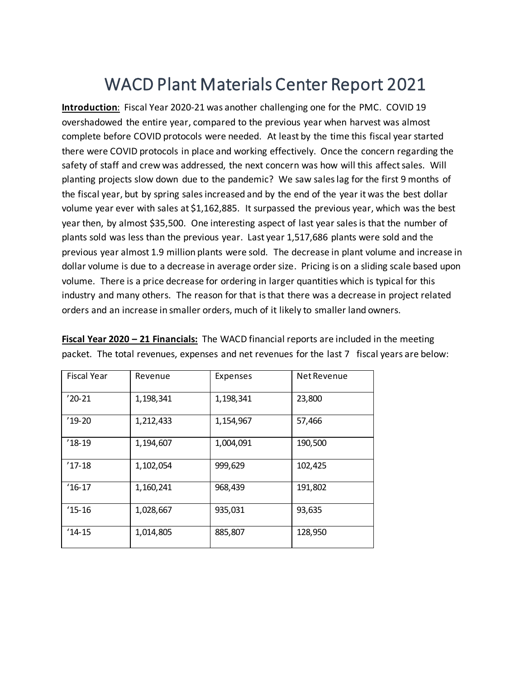## WACD Plant Materials Center Report 2021

**Introduction**: Fiscal Year 2020-21 was another challenging one for the PMC. COVID 19 overshadowed the entire year, compared to the previous year when harvest was almost complete before COVID protocols were needed. At least by the time this fiscal year started there were COVID protocols in place and working effectively. Once the concern regarding the safety of staff and crew was addressed, the next concern was how will this affect sales. Will planting projects slow down due to the pandemic? We saw sales lag for the first 9 months of the fiscal year, but by spring sales increased and by the end of the year it was the best dollar volume year ever with sales at \$1,162,885. It surpassed the previous year, which was the best year then, by almost \$35,500. One interesting aspect of last year sales is that the number of plants sold was less than the previous year. Last year 1,517,686 plants were sold and the previous year almost 1.9 million plants were sold. The decrease in plant volume and increase in dollar volume is due to a decrease in average order size. Pricing is on a sliding scale based upon volume. There is a price decrease for ordering in larger quantities which is typical for this industry and many others. The reason for that is that there was a decrease in project related orders and an increase in smaller orders, much of it likely to smaller land owners.

| <b>Fiscal Year</b> | Revenue   | Expenses  | Net Revenue |
|--------------------|-----------|-----------|-------------|
| $'20-21$           | 1,198,341 | 1,198,341 | 23,800      |
| $'19-20$           | 1,212,433 | 1,154,967 | 57,466      |
| $'18-19$           | 1,194,607 | 1,004,091 | 190,500     |
| $'17-18$           | 1,102,054 | 999,629   | 102,425     |
| $'16-17$           | 1,160,241 | 968,439   | 191,802     |
| $'15 - 16$         | 1,028,667 | 935,031   | 93,635      |
| $'14-15$           | 1,014,805 | 885,807   | 128,950     |

**Fiscal Year 2020 – 21 Financials:** The WACD financial reports are included in the meeting packet. The total revenues, expenses and net revenues for the last 7 fiscal years are below: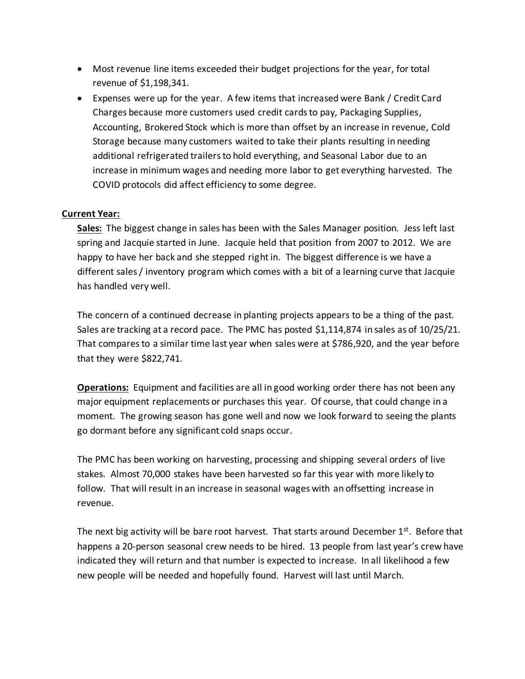- Most revenue line items exceeded their budget projections for the year, for total revenue of \$1,198,341.
- Expenses were up for the year. A few items that increased were Bank / Credit Card Charges because more customers used credit cards to pay, Packaging Supplies, Accounting, Brokered Stock which is more than offset by an increase in revenue, Cold Storage because many customers waited to take their plants resulting in needing additional refrigerated trailers to hold everything, and Seasonal Labor due to an increase in minimum wages and needing more labor to get everything harvested. The COVID protocols did affect efficiency to some degree.

## **Current Year:**

**Sales:** The biggest change in sales has been with the Sales Manager position. Jess left last spring and Jacquie started in June. Jacquie held that position from 2007 to 2012. We are happy to have her back and she stepped right in. The biggest difference is we have a different sales / inventory program which comes with a bit of a learning curve that Jacquie has handled very well.

The concern of a continued decrease in planting projects appears to be a thing of the past. Sales are tracking at a record pace. The PMC has posted \$1,114,874 in sales as of 10/25/21. That compares to a similar time last year when sales were at \$786,920, and the year before that they were \$822,741.

**Operations:** Equipment and facilities are all in good working order there has not been any major equipment replacements or purchases this year. Of course, that could change in a moment. The growing season has gone well and now we look forward to seeing the plants go dormant before any significant cold snaps occur.

The PMC has been working on harvesting, processing and shipping several orders of live stakes. Almost 70,000 stakes have been harvested so far this year with more likely to follow. That will result in an increase in seasonal wages with an offsetting increase in revenue.

The next big activity will be bare root harvest. That starts around December  $1<sup>st</sup>$ . Before that happens a 20-person seasonal crew needs to be hired. 13 people from last year's crew have indicated they will return and that number is expected to increase. In all likelihood a few new people will be needed and hopefully found. Harvest will last until March.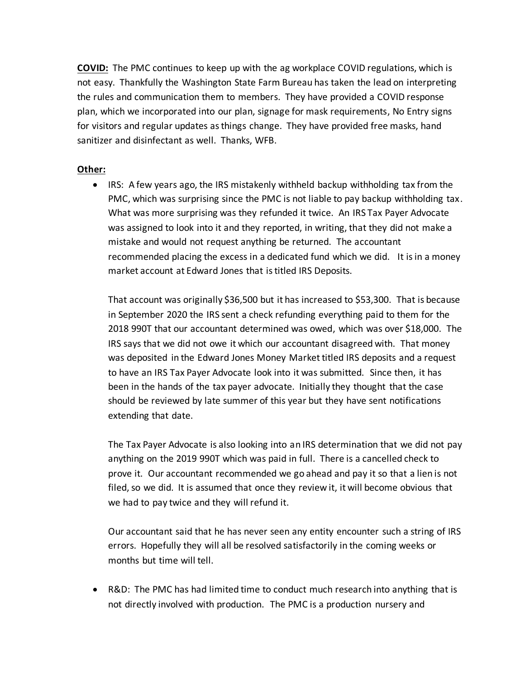**COVID:** The PMC continues to keep up with the ag workplace COVID regulations, which is not easy. Thankfully the Washington State Farm Bureau has taken the lead on interpreting the rules and communication them to members. They have provided a COVID response plan, which we incorporated into our plan, signage for mask requirements, No Entry signs for visitors and regular updates as things change. They have provided free masks, hand sanitizer and disinfectant as well. Thanks, WFB.

## **Other:**

• IRS: A few years ago, the IRS mistakenly withheld backup withholding tax from the PMC, which was surprising since the PMC is not liable to pay backup withholding tax. What was more surprising was they refunded it twice. An IRS Tax Payer Advocate was assigned to look into it and they reported, in writing, that they did not make a mistake and would not request anything be returned. The accountant recommended placing the excess in a dedicated fund which we did. It is in a money market account at Edward Jones that is titled IRS Deposits.

That account was originally \$36,500 but it has increased to \$53,300. That is because in September 2020 the IRS sent a check refunding everything paid to them for the 2018 990T that our accountant determined was owed, which was over \$18,000. The IRS says that we did not owe it which our accountant disagreed with. That money was deposited in the Edward Jones Money Market titled IRS deposits and a request to have an IRS Tax Payer Advocate look into it was submitted. Since then, it has been in the hands of the tax payer advocate. Initially they thought that the case should be reviewed by late summer of this year but they have sent notifications extending that date.

The Tax Payer Advocate is also looking into an IRS determination that we did not pay anything on the 2019 990T which was paid in full. There is a cancelled check to prove it. Our accountant recommended we go ahead and pay it so that a lien is not filed, so we did. It is assumed that once they review it, it will become obvious that we had to pay twice and they will refund it.

Our accountant said that he has never seen any entity encounter such a string of IRS errors. Hopefully they will all be resolved satisfactorily in the coming weeks or months but time will tell.

• R&D: The PMC has had limited time to conduct much research into anything that is not directly involved with production. The PMC is a production nursery and